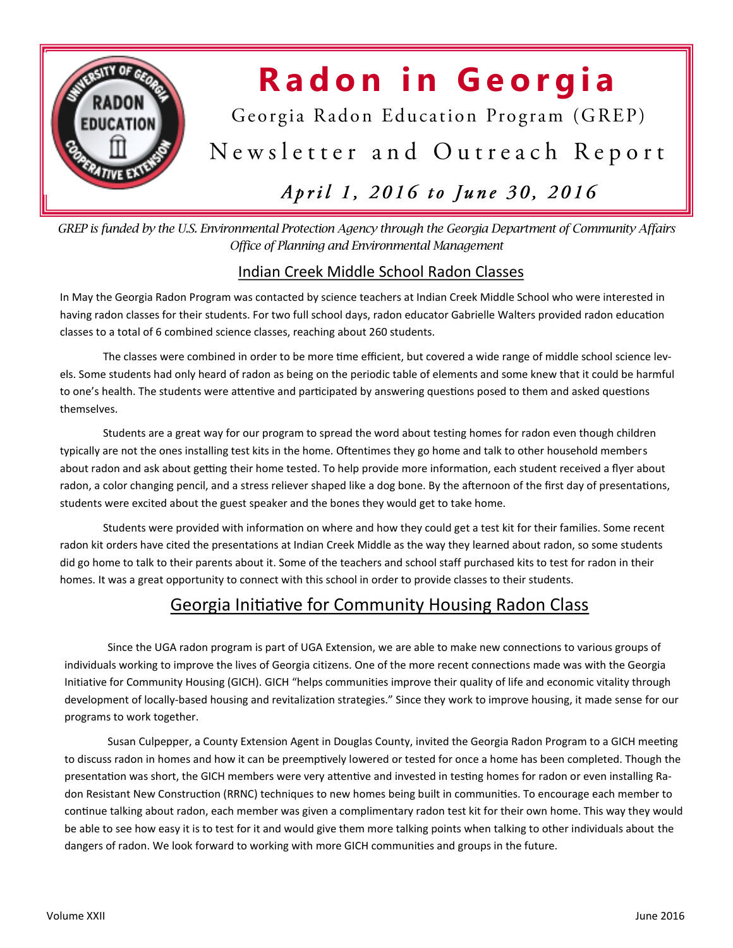

# **Radon in Georgia**

Georgia Radon Education Program (GREP)

Newsletter and Outreach Report

### April 1, 2016 to June 30, 2016

*GREP is funded by the U.S. Environmental Protection Agency through the Georgia Department of Community Affairs Office of Planning and Environmental Management* 

#### Indian Creek Middle School Radon Classes

In May the Georgia Radon Program was contacted by science teachers at Indian Creek Middle School who were interested in having radon classes for their students. For two full school days, radon educator Gabrielle Walters provided radon education classes to a total of 6 combined science classes, reaching about 260 students.

The classes were combined in order to be more time efficient, but covered a wide range of middle school science levels. Some students had only heard of radon as being on the periodic table of elements and some knew that it could be harmful to one's health. The students were attentive and participated by answering questions posed to them and asked questions themselves.

Students are a great way for our program to spread the word about testing homes for radon even though children typically are not the ones installing test kits in the home. Oftentimes they go home and talk to other household members about radon and ask about getting their home tested. To help provide more information, each student received a flyer about radon, a color changing pencil, and a stress reliever shaped like a dog bone. By the afternoon of the first day of presentations, students were excited about the guest speaker and the bones they would get to take home.

Students were provided with information on where and how they could get a test kit for their families. Some recent radon kit orders have cited the presentations at Indian Creek Middle as the way they learned about radon, so some students did go home to talk to their parents about it. Some of the teachers and school staff purchased kits to test for radon in their homes. It was a great opportunity to connect with this school in order to provide classes to their students.

#### Georgia Initiative for Community Housing Radon Class

Since the UGA radon program is part of UGA Extension, we are able to make new connections to various groups of individuals working to improve the lives of Georgia citizens. One of the more recent connections made was with the Georgia Initiative for Community Housing (GICH). GICH "helps communities improve their quality of life and economic vitality through development of locally-based housing and revitalization strategies." Since they work to improve housing, it made sense for our programs to work together.

Susan Culpepper, a County Extension Agent in Douglas County, invited the Georgia Radon Program to a GICH meeting to discuss radon in homes and how it can be preemptively lowered or tested for once a home has been completed. Though the presentation was short, the GICH members were very attentive and invested in testing homes for radon or even installing Radon Resistant New Construction (RRNC) techniques to new homes being built in communities. To encourage each member to continue talking about radon, each member was given a complimentary radon test kit for their own home. This way they would be able to see how easy it is to test for it and would give them more talking points when talking to other individuals about the dangers of radon. We look forward to working with more GICH communities and groups in the future.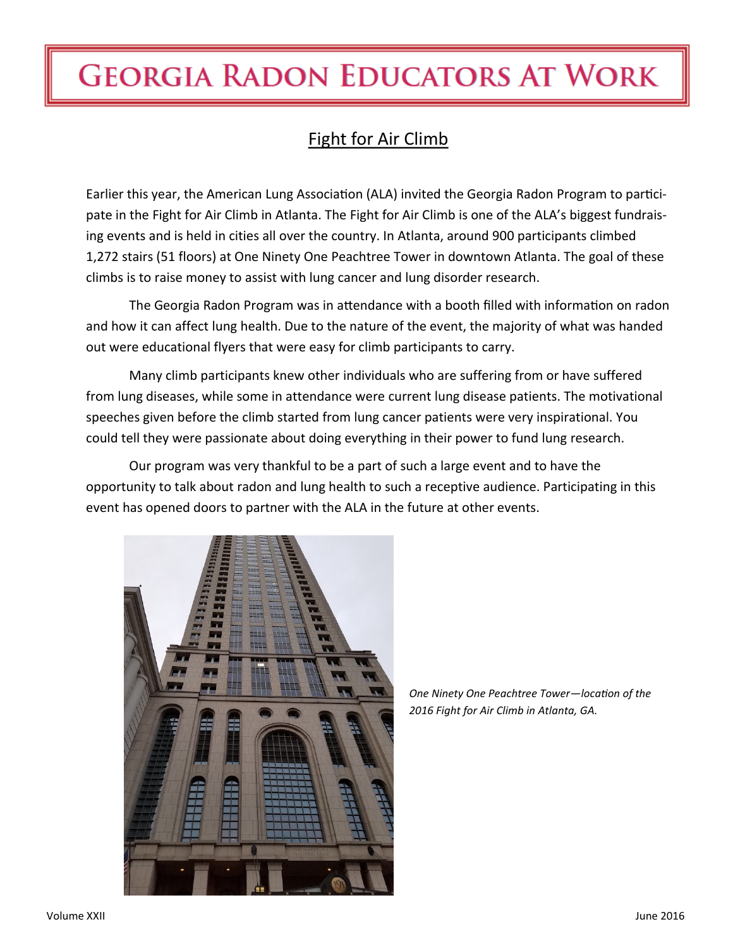## **GEORGIA RADON EDUCATORS AT WORK**

### Fight for Air Climb

Earlier this year, the American Lung Association (ALA) invited the Georgia Radon Program to participate in the Fight for Air Climb in Atlanta. The Fight for Air Climb is one of the ALA's biggest fundraising events and is held in cities all over the country. In Atlanta, around 900 participants climbed 1,272 stairs (51 floors) at One Ninety One Peachtree Tower in downtown Atlanta. The goal of these climbs is to raise money to assist with lung cancer and lung disorder research.

The Georgia Radon Program was in attendance with a booth filled with information on radon and how it can affect lung health. Due to the nature of the event, the majority of what was handed out were educational flyers that were easy for climb participants to carry.

Many climb participants knew other individuals who are suffering from or have suffered from lung diseases, while some in attendance were current lung disease patients. The motivational speeches given before the climb started from lung cancer patients were very inspirational. You could tell they were passionate about doing everything in their power to fund lung research.

Our program was very thankful to be a part of such a large event and to have the opportunity to talk about radon and lung health to such a receptive audience. Participating in this event has opened doors to partner with the ALA in the future at other events.



*One Ninety One Peachtree Tower—location of the 2016 Fight for Air Climb in Atlanta, GA.*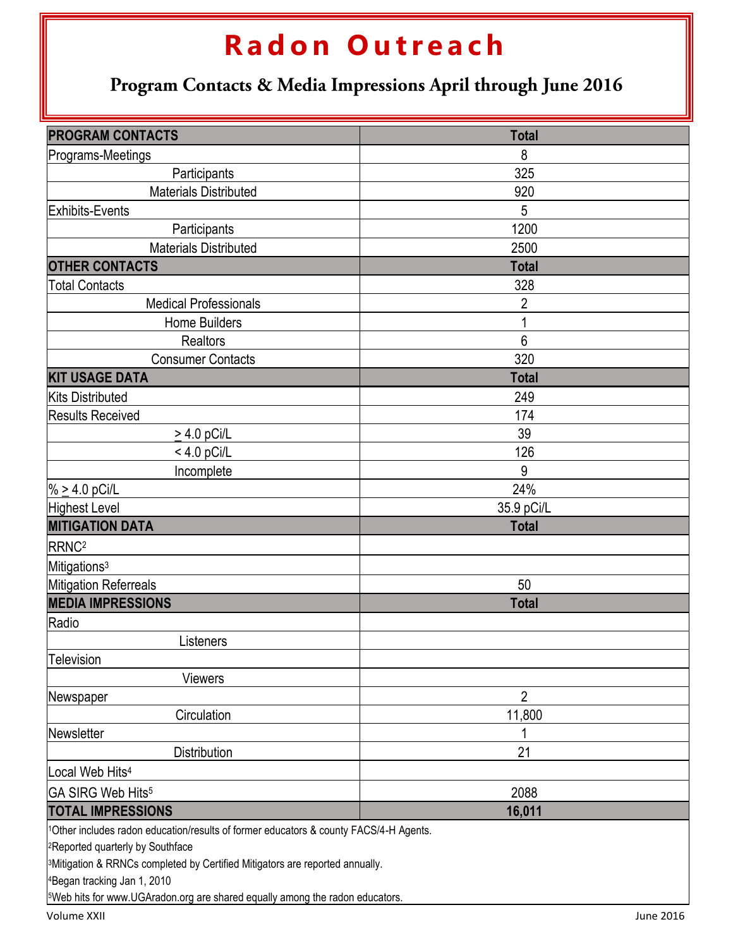### **R a d o n O u t r e a c h**

Program Contacts & Media Impressions April through June 2016

| <b>PROGRAM CONTACTS</b>                                                                  | <b>Total</b>   |  |  |  |  |
|------------------------------------------------------------------------------------------|----------------|--|--|--|--|
| Programs-Meetings                                                                        | 8              |  |  |  |  |
| Participants                                                                             | 325            |  |  |  |  |
| <b>Materials Distributed</b>                                                             | 920            |  |  |  |  |
| Exhibits-Events                                                                          | 5              |  |  |  |  |
| Participants                                                                             | 1200           |  |  |  |  |
| <b>Materials Distributed</b>                                                             | 2500           |  |  |  |  |
| <b>OTHER CONTACTS</b>                                                                    | <b>Total</b>   |  |  |  |  |
| <b>Total Contacts</b>                                                                    | 328            |  |  |  |  |
| <b>Medical Professionals</b>                                                             | $\overline{2}$ |  |  |  |  |
| <b>Home Builders</b>                                                                     |                |  |  |  |  |
| <b>Realtors</b>                                                                          | 6              |  |  |  |  |
| <b>Consumer Contacts</b>                                                                 | 320            |  |  |  |  |
| <b>KIT USAGE DATA</b>                                                                    | <b>Total</b>   |  |  |  |  |
| <b>Kits Distributed</b>                                                                  | 249            |  |  |  |  |
| <b>Results Received</b>                                                                  | 174            |  |  |  |  |
| $\geq$ 4.0 pCi/L                                                                         | 39             |  |  |  |  |
| $< 4.0$ pCi/L                                                                            | 126            |  |  |  |  |
| Incomplete                                                                               | 9              |  |  |  |  |
| % $\geq 4.0$ pCi/L                                                                       | 24%            |  |  |  |  |
| Highest Level                                                                            | 35.9 pCi/L     |  |  |  |  |
| <b>MITIGATION DATA</b>                                                                   | <b>Total</b>   |  |  |  |  |
| RRNC <sup>2</sup>                                                                        |                |  |  |  |  |
| Mitigations <sup>3</sup>                                                                 |                |  |  |  |  |
| Mitigation Referreals                                                                    | 50             |  |  |  |  |
| <b>MEDIA IMPRESSIONS</b>                                                                 | <b>Total</b>   |  |  |  |  |
| Radio                                                                                    |                |  |  |  |  |
| Listeners                                                                                |                |  |  |  |  |
| Television                                                                               |                |  |  |  |  |
| <b>Viewers</b>                                                                           |                |  |  |  |  |
| Newspaper                                                                                | 2              |  |  |  |  |
| Circulation                                                                              | 11,800         |  |  |  |  |
| Newsletter                                                                               |                |  |  |  |  |
| <b>Distribution</b>                                                                      | 21             |  |  |  |  |
| Local Web Hits <sup>4</sup>                                                              |                |  |  |  |  |
| GA SIRG Web Hits <sup>5</sup>                                                            | 2088           |  |  |  |  |
| <b>TOTAL IMPRESSIONS</b>                                                                 | 16,011         |  |  |  |  |
| 1Other includes radon education/results of former educators & county FACS/4-H Agents.    |                |  |  |  |  |
| <sup>2</sup> Reported quarterly by Southface                                             |                |  |  |  |  |
| <sup>3</sup> Mitigation & RRNCs completed by Certified Mitigators are reported annually. |                |  |  |  |  |
| 4Began tracking Jan 1, 2010                                                              |                |  |  |  |  |
| <sup>5</sup> Web hits for www.UGAradon.org are shared equally among the radon educators. |                |  |  |  |  |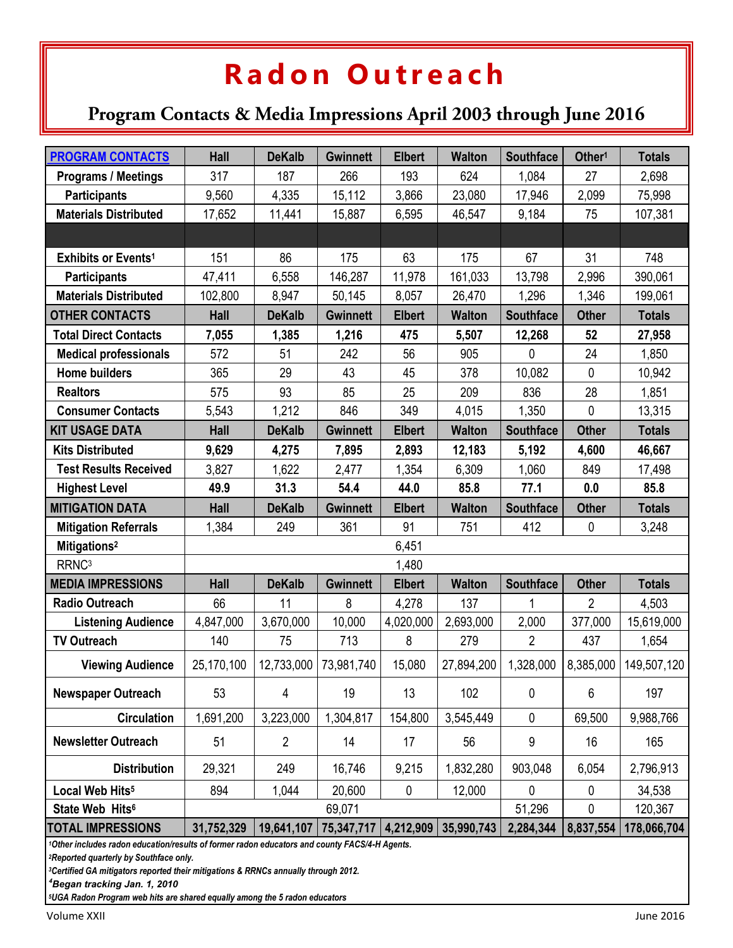### **R a d o n O u t r e a c h**

### Program Contacts & Media Impressions April 2003 through June 2016

| <b>PROGRAM CONTACTS</b>         | <b>Hall</b> | <b>DeKalb</b>  | <b>Gwinnett</b> | <b>Elbert</b> | <b>Walton</b> | <b>Southface</b> | Other <sup>1</sup> | <b>Totals</b> |
|---------------------------------|-------------|----------------|-----------------|---------------|---------------|------------------|--------------------|---------------|
| <b>Programs / Meetings</b>      | 317         | 187            | 266             | 193           | 624           | 1,084            | 27                 | 2,698         |
| <b>Participants</b>             | 9,560       | 4,335          | 15,112          | 3,866         | 23,080        | 17,946           | 2,099              | 75,998        |
| <b>Materials Distributed</b>    | 17,652      | 11,441         | 15,887          | 6,595         | 46,547        | 9,184            | 75                 | 107,381       |
|                                 |             |                |                 |               |               |                  |                    |               |
| Exhibits or Events <sup>1</sup> | 151         | 86             | 175             | 63            | 175           | 67               | 31                 | 748           |
| <b>Participants</b>             | 47,411      | 6,558          | 146,287         | 11,978        | 161,033       | 13,798           | 2,996              | 390,061       |
| <b>Materials Distributed</b>    | 102,800     | 8,947          | 50,145          | 8,057         | 26,470        | 1,296            | 1,346              | 199,061       |
| <b>OTHER CONTACTS</b>           | Hall        | <b>DeKalb</b>  | <b>Gwinnett</b> | <b>Elbert</b> | <b>Walton</b> | <b>Southface</b> | <b>Other</b>       | <b>Totals</b> |
| <b>Total Direct Contacts</b>    | 7,055       | 1,385          | 1,216           | 475           | 5,507         | 12,268           | 52                 | 27,958        |
| <b>Medical professionals</b>    | 572         | 51             | 242             | 56            | 905           | 0                | 24                 | 1,850         |
| <b>Home builders</b>            | 365         | 29             | 43              | 45            | 378           | 10,082           | 0                  | 10,942        |
| <b>Realtors</b>                 | 575         | 93             | 85              | 25            | 209           | 836              | 28                 | 1,851         |
| <b>Consumer Contacts</b>        | 5,543       | 1,212          | 846             | 349           | 4,015         | 1,350            | 0                  | 13,315        |
| <b>KIT USAGE DATA</b>           | <b>Hall</b> | <b>DeKalb</b>  | <b>Gwinnett</b> | <b>Elbert</b> | <b>Walton</b> | <b>Southface</b> | <b>Other</b>       | <b>Totals</b> |
| <b>Kits Distributed</b>         | 9,629       | 4,275          | 7,895           | 2,893         | 12,183        | 5,192            | 4,600              | 46,667        |
| <b>Test Results Received</b>    | 3,827       | 1,622          | 2,477           | 1,354         | 6,309         | 1,060            | 849                | 17,498        |
| <b>Highest Level</b>            | 49.9        | 31.3           | 54.4            | 44.0          | 85.8          | 77.1             | 0.0                | 85.8          |
| <b>MITIGATION DATA</b>          | <b>Hall</b> | <b>DeKalb</b>  | <b>Gwinnett</b> | <b>Elbert</b> | <b>Walton</b> | <b>Southface</b> | <b>Other</b>       | <b>Totals</b> |
| <b>Mitigation Referrals</b>     | 1,384       | 249            | 361             | 91            | 751           | 412              | 0                  | 3,248         |
| Mitigations <sup>2</sup>        | 6,451       |                |                 |               |               |                  |                    |               |
| RRNC <sup>3</sup>               | 1,480       |                |                 |               |               |                  |                    |               |
| <b>MEDIA IMPRESSIONS</b>        | <b>Hall</b> | <b>DeKalb</b>  | <b>Gwinnett</b> | <b>Elbert</b> | <b>Walton</b> | <b>Southface</b> | <b>Other</b>       | <b>Totals</b> |
| <b>Radio Outreach</b>           | 66          | 11             | 8               | 4,278         | 137           | 1                | $\overline{2}$     | 4,503         |
| <b>Listening Audience</b>       | 4,847,000   | 3,670,000      | 10,000          | 4,020,000     | 2,693,000     | 2,000            | 377,000            | 15,619,000    |
| <b>TV Outreach</b>              | 140         | 75             | 713             | 8             | 279           | $\overline{2}$   | 437                | 1,654         |
| <b>Viewing Audience</b>         | 25,170,100  | 12,733,000     | 73,981,740      | 15,080        | 27,894,200    | 1,328,000        | 8,385,000          | 149,507,120   |
| <b>Newspaper Outreach</b>       | 53          | 4              | 19              | 13            | 102           | 0                | 6                  | 197           |
| <b>Circulation</b>              | 1,691,200   | 3,223,000      | 1,304,817       | 154,800       | 3,545,449     | 0                | 69,500             | 9,988,766     |
|                                 |             |                |                 |               |               |                  | 16                 | 165           |
| <b>Newsletter Outreach</b>      | 51          | $\overline{2}$ | 14              | 17            | 56            | 9                |                    |               |
| <b>Distribution</b>             | 29,321      | 249            | 16,746          | 9,215         | 1,832,280     | 903,048          | 6,054              | 2,796,913     |
| Local Web Hits <sup>5</sup>     | 894         | 1,044          | 20,600          | 0             | 12,000        | 0                | 0                  | 34,538        |
| State Web Hits <sup>6</sup>     |             |                | 69,071          |               |               | 51,296           | 0                  | 120,367       |
| <b>TOTAL IMPRESSIONS</b>        | 31,752,329  | 19,641,107     | 75,347,717      | 4,212,909     | 35,990,743    | 2,284,344        | 8,837,554          | 178,066,704   |

*<sup>3</sup>Certified GA mitigators reported their mitigations & RRNCs annually through 2012.* 

*<sup>4</sup>Began tracking Jan. 1, 2010*

*5UGA Radon Program web hits are shared equally among the 5 radon educators*